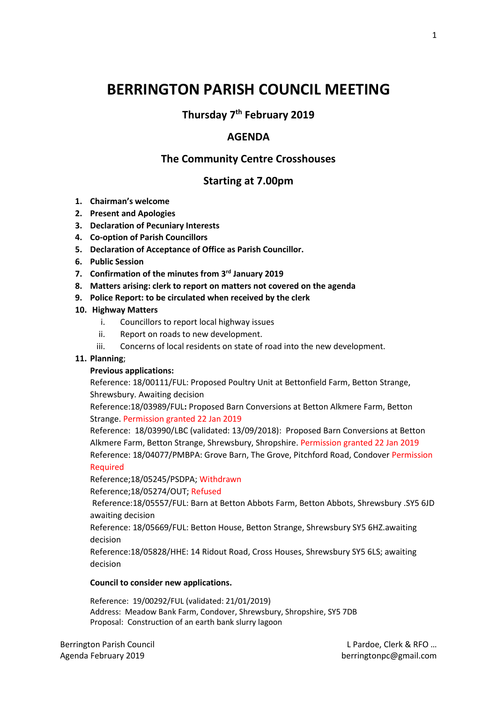# **BERRINGTON PARISH COUNCIL MEETING**

**Thursday 7 th February 2019**

# **AGENDA**

# **The Community Centre Crosshouses**

# **Starting at 7.00pm**

- **1. Chairman's welcome**
- **2. Present and Apologies**
- **3. Declaration of Pecuniary Interests**
- **4. Co-option of Parish Councillors**
- **5. Declaration of Acceptance of Office as Parish Councillor.**
- **6. Public Session**
- **7. Confirmation of the minutes from 3rd January 2019**
- **8. Matters arising: clerk to report on matters not covered on the agenda**
- **9. Police Report: to be circulated when received by the clerk**

### **10. Highway Matters**

- i. Councillors to report local highway issues
- ii. Report on roads to new development.
- iii. Concerns of local residents on state of road into the new development.

## **11. Planning**;

## **Previous applications:**

Reference: 18/00111/FUL: Proposed Poultry Unit at Bettonfield Farm, Betton Strange, Shrewsbury. Awaiting decision

Reference:18/03989/FUL**:** Proposed Barn Conversions at Betton Alkmere Farm, Betton Strange. Permission granted 22 Jan 2019

Reference: 18/03990/LBC (validated: 13/09/2018): Proposed Barn Conversions at Betton Alkmere Farm, Betton Strange, Shrewsbury, Shropshire. Permission granted 22 Jan 2019 Reference: 18/04077/PMBPA: Grove Barn, The Grove, Pitchford Road, Condover Permission Required

Reference;18/05245/PSDPA; Withdrawn

Reference;18/05274/OUT; Refused

Reference:18/05557/FUL: Barn at Betton Abbots Farm, Betton Abbots, Shrewsbury .SY5 6JD awaiting decision

Reference: 18/05669/FUL: Betton House, Betton Strange, Shrewsbury SY5 6HZ.awaiting decision

Reference:18/05828/HHE: 14 Ridout Road, Cross Houses, Shrewsbury SY5 6LS; awaiting decision

#### **Council to consider new applications.**

Reference: 19/00292/FUL (validated: 21/01/2019) Address: Meadow Bank Farm, Condover, Shrewsbury, Shropshire, SY5 7DB Proposal: Construction of an earth bank slurry lagoon